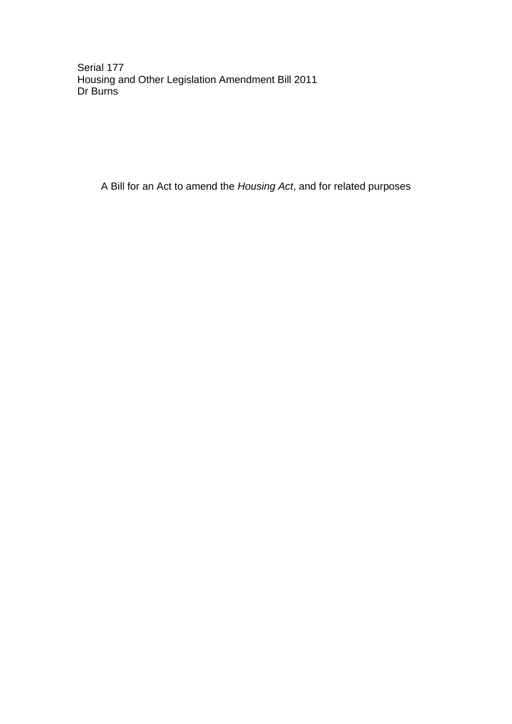Serial 177 Housing and Other Legislation Amendment Bill 2011 Dr Burns

A Bill for an Act to amend the *Housing Act*, and for related purposes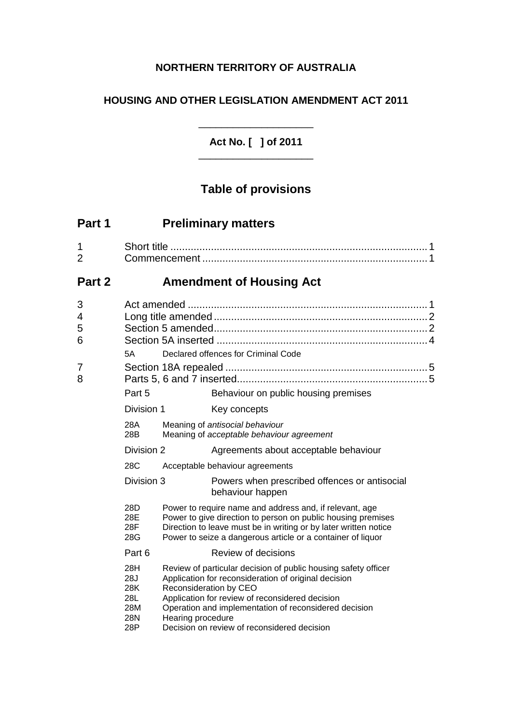## **NORTHERN TERRITORY OF AUSTRALIA**

## **HOUSING AND OTHER LEGISLATION AMENDMENT ACT 2011**

**Act No. [ ] of 2011** \_\_\_\_\_\_\_\_\_\_\_\_\_\_\_\_\_\_\_\_

\_\_\_\_\_\_\_\_\_\_\_\_\_\_\_\_\_\_\_\_

# **Table of provisions**

| Part 1              |                                                      |                                     | <b>Preliminary matters</b>                                                                                                                                                                                                                                                                                  |  |
|---------------------|------------------------------------------------------|-------------------------------------|-------------------------------------------------------------------------------------------------------------------------------------------------------------------------------------------------------------------------------------------------------------------------------------------------------------|--|
| 1<br>$\overline{2}$ |                                                      |                                     |                                                                                                                                                                                                                                                                                                             |  |
| Part 2              | <b>Amendment of Housing Act</b>                      |                                     |                                                                                                                                                                                                                                                                                                             |  |
| 3<br>4<br>5<br>6    | 5А                                                   | Declared offences for Criminal Code |                                                                                                                                                                                                                                                                                                             |  |
| 7<br>8              | Part 5                                               |                                     | Behaviour on public housing premises                                                                                                                                                                                                                                                                        |  |
|                     | Division 1                                           |                                     | Key concepts                                                                                                                                                                                                                                                                                                |  |
|                     | 28A<br>28B                                           |                                     | Meaning of antisocial behaviour<br>Meaning of acceptable behaviour agreement                                                                                                                                                                                                                                |  |
|                     | Division 2                                           |                                     | Agreements about acceptable behaviour                                                                                                                                                                                                                                                                       |  |
|                     | 28C                                                  |                                     | Acceptable behaviour agreements                                                                                                                                                                                                                                                                             |  |
|                     | Division 3                                           |                                     | Powers when prescribed offences or antisocial<br>behaviour happen                                                                                                                                                                                                                                           |  |
|                     | 28D<br>28E<br>28F<br>28G                             |                                     | Power to require name and address and, if relevant, age<br>Power to give direction to person on public housing premises<br>Direction to leave must be in writing or by later written notice<br>Power to seize a dangerous article or a container of liquor                                                  |  |
|                     | Part 6                                               |                                     | Review of decisions                                                                                                                                                                                                                                                                                         |  |
|                     | 28H<br>28J<br>28K<br><b>28L</b><br>28M<br>28N<br>28P | Hearing procedure                   | Review of particular decision of public housing safety officer<br>Application for reconsideration of original decision<br>Reconsideration by CEO<br>Application for review of reconsidered decision<br>Operation and implementation of reconsidered decision<br>Decision on review of reconsidered decision |  |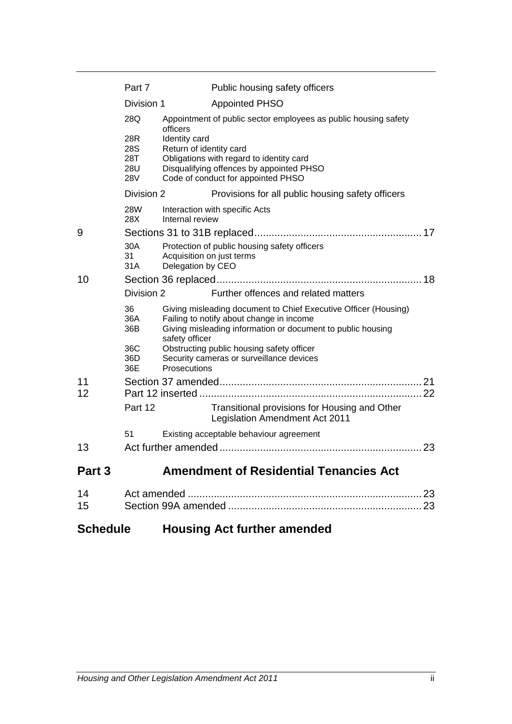|        | Part 7                                                                                                             |                                          | Public housing safety officers                                                                                                                                             |  |
|--------|--------------------------------------------------------------------------------------------------------------------|------------------------------------------|----------------------------------------------------------------------------------------------------------------------------------------------------------------------------|--|
|        | Division 1                                                                                                         |                                          | <b>Appointed PHSO</b>                                                                                                                                                      |  |
|        | 28Q                                                                                                                | officers                                 | Appointment of public sector employees as public housing safety                                                                                                            |  |
|        | 28R<br>28S<br>28T<br>28U<br>28V                                                                                    | Identity card<br>Return of identity card | Obligations with regard to identity card<br>Disqualifying offences by appointed PHSO<br>Code of conduct for appointed PHSO                                                 |  |
|        | Division 2                                                                                                         |                                          | Provisions for all public housing safety officers                                                                                                                          |  |
|        | 28W<br>28X                                                                                                         | Internal review                          | Interaction with specific Acts                                                                                                                                             |  |
| 9      |                                                                                                                    |                                          |                                                                                                                                                                            |  |
|        | 30A<br>Protection of public housing safety officers<br>31<br>Acquisition on just terms<br>31A<br>Delegation by CEO |                                          |                                                                                                                                                                            |  |
| 10     |                                                                                                                    |                                          |                                                                                                                                                                            |  |
|        | Division 2                                                                                                         |                                          | Further offences and related matters                                                                                                                                       |  |
|        | 36<br>36A<br>36B                                                                                                   | safety officer                           | Giving misleading document to Chief Executive Officer (Housing)<br>Failing to notify about change in income<br>Giving misleading information or document to public housing |  |
|        | 36C<br>36D<br>36E                                                                                                  | Prosecutions                             | Obstructing public housing safety officer<br>Security cameras or surveillance devices                                                                                      |  |
| 11     |                                                                                                                    |                                          |                                                                                                                                                                            |  |
| 12     |                                                                                                                    |                                          |                                                                                                                                                                            |  |
|        | Part 12                                                                                                            |                                          | Transitional provisions for Housing and Other<br>Legislation Amendment Act 2011                                                                                            |  |
|        | 51                                                                                                                 |                                          | Existing acceptable behaviour agreement                                                                                                                                    |  |
| 13     |                                                                                                                    |                                          |                                                                                                                                                                            |  |
| Part 3 |                                                                                                                    |                                          | <b>Amendment of Residential Tenancies Act</b>                                                                                                                              |  |
| 14     |                                                                                                                    |                                          |                                                                                                                                                                            |  |
| 15     |                                                                                                                    |                                          |                                                                                                                                                                            |  |

# **Schedule Housing Act further amended**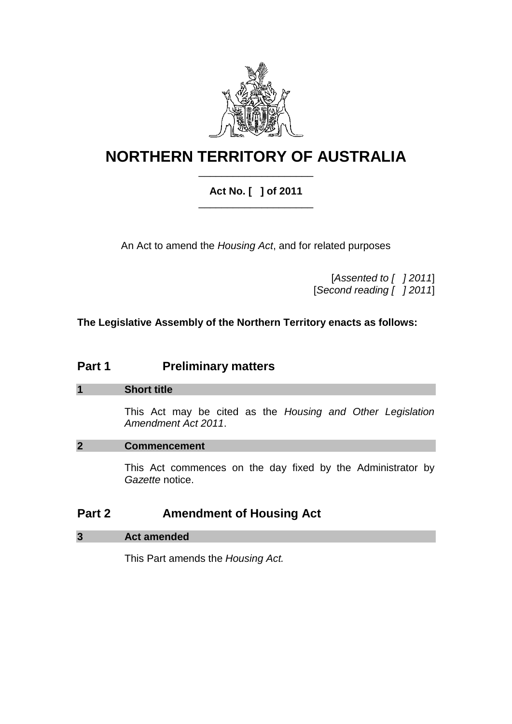

# **NORTHERN TERRITORY OF AUSTRALIA** \_\_\_\_\_\_\_\_\_\_\_\_\_\_\_\_\_\_\_\_

### **Act No. [ ] of 2011** \_\_\_\_\_\_\_\_\_\_\_\_\_\_\_\_\_\_\_\_

An Act to amend the *Housing Act*, and for related purposes

[*Assented to [ ] 2011*] [*Second reading [ ] 2011*]

**The Legislative Assembly of the Northern Territory enacts as follows:**

# **Part 1 Preliminary matters**

### **1 Short title**

This Act may be cited as the *Housing and Other Legislation Amendment Act 2011*.

### **2 Commencement**

This Act commences on the day fixed by the Administrator by *Gazette* notice.

# **Part 2 Amendment of Housing Act**

### **3 Act amended**

This Part amends the *Housing Act.*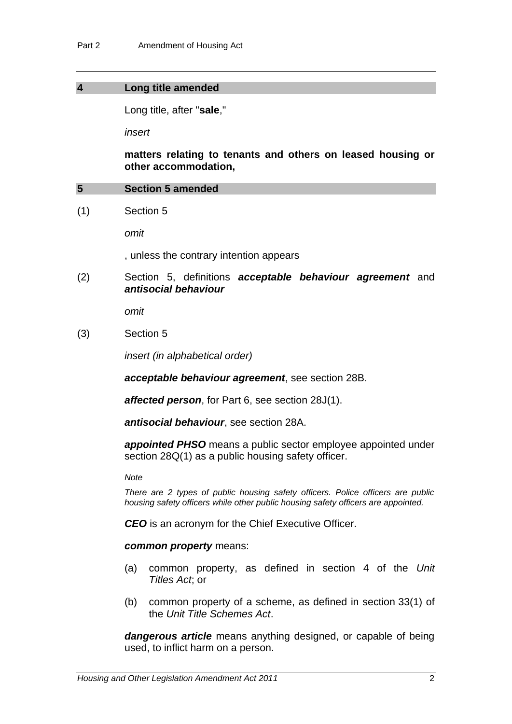### **4 Long title amended**

Long title, after "**sale**,"

*insert*

**matters relating to tenants and others on leased housing or other accommodation,**

### **5 Section 5 amended**

(1) Section 5

*omit*

, unless the contrary intention appears

(2) Section 5, definitions *acceptable behaviour agreement* and *antisocial behaviour*

*omit*

(3) Section 5

*insert (in alphabetical order)*

*acceptable behaviour agreement*, see section 28B.

*affected person*, for Part 6, see section 28J(1).

*antisocial behaviour*, see section 28A.

*appointed PHSO* means a public sector employee appointed under section 28Q(1) as a public housing safety officer.

*Note*

*There are 2 types of public housing safety officers. Police officers are public housing safety officers while other public housing safety officers are appointed.*

*CEO* is an acronym for the Chief Executive Officer.

#### *common property* means:

- (a) common property, as defined in section 4 of the *Unit Titles Act*; or
- (b) common property of a scheme, as defined in section 33(1) of the *Unit Title Schemes Act*.

*dangerous article* means anything designed, or capable of being used, to inflict harm on a person.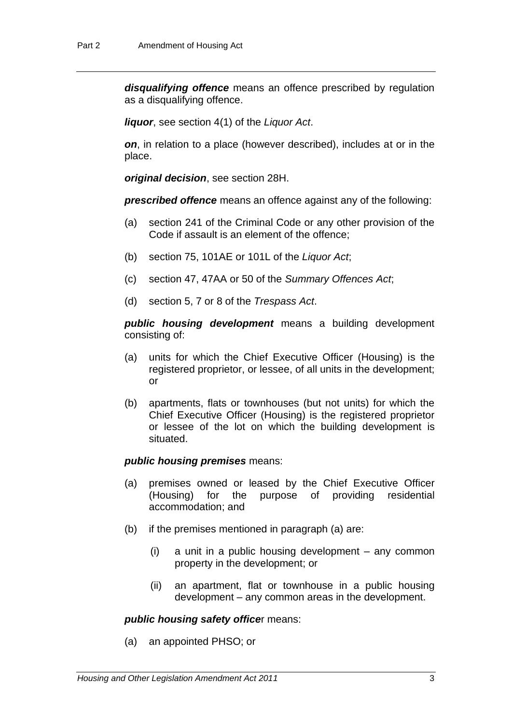*disqualifying offence* means an offence prescribed by regulation as a disqualifying offence.

*liquor*, see section 4(1) of the *Liquor Act*.

*on*, in relation to a place (however described), includes at or in the place.

*original decision*, see section 28H.

*prescribed offence* means an offence against any of the following:

- (a) section 241 of the Criminal Code or any other provision of the Code if assault is an element of the offence;
- (b) section 75, 101AE or 101L of the *Liquor Act*;
- (c) section 47, 47AA or 50 of the *Summary Offences Act*;
- (d) section 5, 7 or 8 of the *Trespass Act*.

*public housing development* means a building development consisting of:

- (a) units for which the Chief Executive Officer (Housing) is the registered proprietor, or lessee, of all units in the development; or
- (b) apartments, flats or townhouses (but not units) for which the Chief Executive Officer (Housing) is the registered proprietor or lessee of the lot on which the building development is situated.

### *public housing premises* means:

- (a) premises owned or leased by the Chief Executive Officer (Housing) for the purpose of providing residential accommodation; and
- (b) if the premises mentioned in paragraph (a) are:
	- (i) a unit in a public housing development any common property in the development; or
	- (ii) an apartment, flat or townhouse in a public housing development – any common areas in the development.

#### *public housing safety office*r means:

(a) an appointed PHSO; or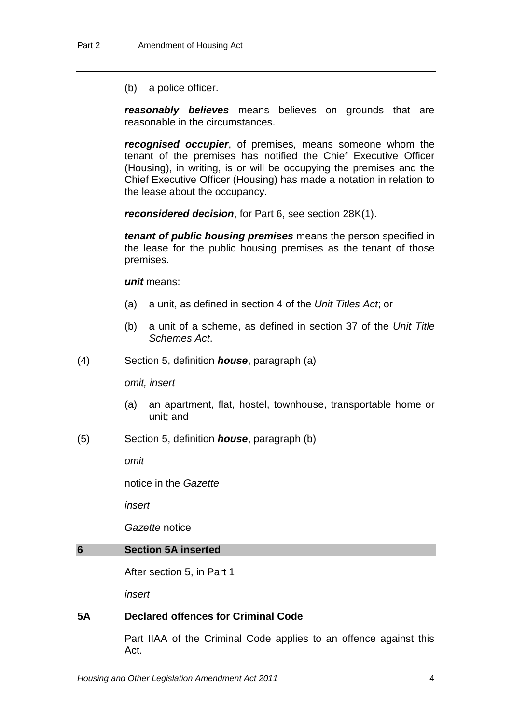(b) a police officer.

*reasonably believes* means believes on grounds that are reasonable in the circumstances.

*recognised occupier*, of premises, means someone whom the tenant of the premises has notified the Chief Executive Officer (Housing), in writing, is or will be occupying the premises and the Chief Executive Officer (Housing) has made a notation in relation to the lease about the occupancy.

*reconsidered decision*, for Part 6, see section 28K(1).

*tenant of public housing premises* means the person specified in the lease for the public housing premises as the tenant of those premises.

*unit* means:

- (a) a unit, as defined in section 4 of the *Unit Titles Act*; or
- (b) a unit of a scheme, as defined in section 37 of the *Unit Title Schemes Act*.
- (4) Section 5, definition *house*, paragraph (a)

*omit, insert*

- (a) an apartment, flat, hostel, townhouse, transportable home or unit; and
- (5) Section 5, definition *house*, paragraph (b)

*omit*

notice in the *Gazette*

*insert*

*Gazette* notice

### **6 Section 5A inserted**

After section 5, in Part 1

*insert*

### **5A Declared offences for Criminal Code**

Part IIAA of the Criminal Code applies to an offence against this Act.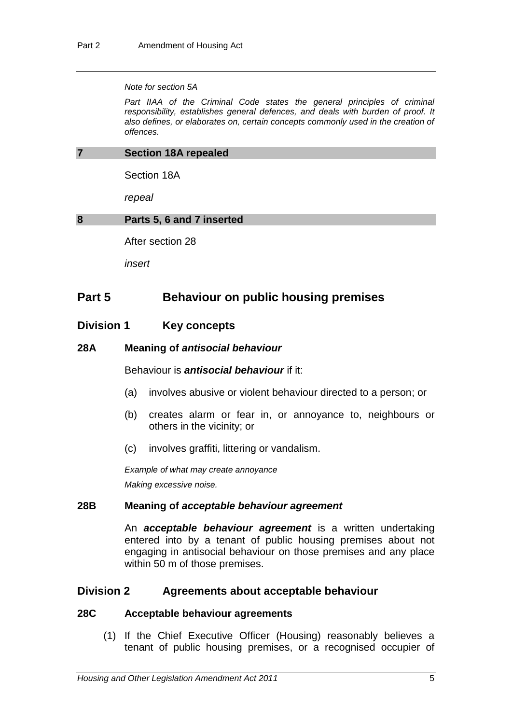#### *Note for section 5A*

Part IIAA of the Criminal Code states the general principles of criminal *responsibility, establishes general defences, and deals with burden of proof. It also defines, or elaborates on, certain concepts commonly used in the creation of offences.* 

#### **7 Section 18A repealed**

Section 18A

*repeal*

### **8 Parts 5, 6 and 7 inserted**

After section 28

*insert*

### **Part 5 Behaviour on public housing premises**

### **Division 1 Key concepts**

### **28A Meaning of** *antisocial behaviour*

Behaviour is *antisocial behaviour* if it:

- (a) involves abusive or violent behaviour directed to a person; or
- (b) creates alarm or fear in, or annoyance to, neighbours or others in the vicinity; or
- (c) involves graffiti, littering or vandalism.

*Example of what may create annoyance Making excessive noise.*

### **28B Meaning of** *acceptable behaviour agreement*

An *acceptable behaviour agreement* is a written undertaking entered into by a tenant of public housing premises about not engaging in antisocial behaviour on those premises and any place within 50 m of those premises.

### **Division 2 Agreements about acceptable behaviour**

### **28C Acceptable behaviour agreements**

(1) If the Chief Executive Officer (Housing) reasonably believes a tenant of public housing premises, or a recognised occupier of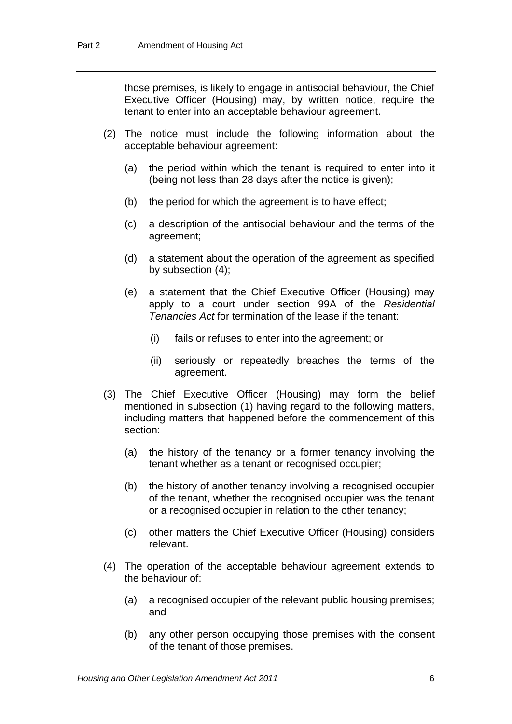those premises, is likely to engage in antisocial behaviour, the Chief Executive Officer (Housing) may, by written notice, require the tenant to enter into an acceptable behaviour agreement.

- (2) The notice must include the following information about the acceptable behaviour agreement:
	- (a) the period within which the tenant is required to enter into it (being not less than 28 days after the notice is given);
	- (b) the period for which the agreement is to have effect;
	- (c) a description of the antisocial behaviour and the terms of the agreement;
	- (d) a statement about the operation of the agreement as specified by subsection (4);
	- (e) a statement that the Chief Executive Officer (Housing) may apply to a court under section 99A of the *Residential Tenancies Act* for termination of the lease if the tenant:
		- (i) fails or refuses to enter into the agreement; or
		- (ii) seriously or repeatedly breaches the terms of the agreement.
- (3) The Chief Executive Officer (Housing) may form the belief mentioned in subsection (1) having regard to the following matters, including matters that happened before the commencement of this section:
	- (a) the history of the tenancy or a former tenancy involving the tenant whether as a tenant or recognised occupier;
	- (b) the history of another tenancy involving a recognised occupier of the tenant, whether the recognised occupier was the tenant or a recognised occupier in relation to the other tenancy;
	- (c) other matters the Chief Executive Officer (Housing) considers relevant.
- (4) The operation of the acceptable behaviour agreement extends to the behaviour of:
	- (a) a recognised occupier of the relevant public housing premises; and
	- (b) any other person occupying those premises with the consent of the tenant of those premises.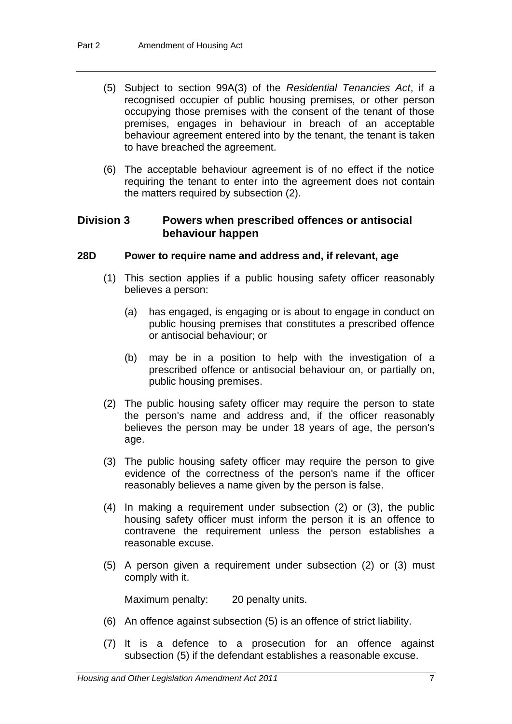- (5) Subject to section 99A(3) of the *Residential Tenancies Act*, if a recognised occupier of public housing premises, or other person occupying those premises with the consent of the tenant of those premises, engages in behaviour in breach of an acceptable behaviour agreement entered into by the tenant, the tenant is taken to have breached the agreement.
- (6) The acceptable behaviour agreement is of no effect if the notice requiring the tenant to enter into the agreement does not contain the matters required by subsection (2).

### **Division 3 Powers when prescribed offences or antisocial behaviour happen**

### **28D Power to require name and address and, if relevant, age**

- (1) This section applies if a public housing safety officer reasonably believes a person:
	- (a) has engaged, is engaging or is about to engage in conduct on public housing premises that constitutes a prescribed offence or antisocial behaviour; or
	- (b) may be in a position to help with the investigation of a prescribed offence or antisocial behaviour on, or partially on, public housing premises.
- (2) The public housing safety officer may require the person to state the person's name and address and, if the officer reasonably believes the person may be under 18 years of age, the person's age.
- (3) The public housing safety officer may require the person to give evidence of the correctness of the person's name if the officer reasonably believes a name given by the person is false.
- (4) In making a requirement under subsection (2) or (3), the public housing safety officer must inform the person it is an offence to contravene the requirement unless the person establishes a reasonable excuse.
- (5) A person given a requirement under subsection (2) or (3) must comply with it.

Maximum penalty: 20 penalty units.

- (6) An offence against subsection (5) is an offence of strict liability.
- (7) It is a defence to a prosecution for an offence against subsection (5) if the defendant establishes a reasonable excuse.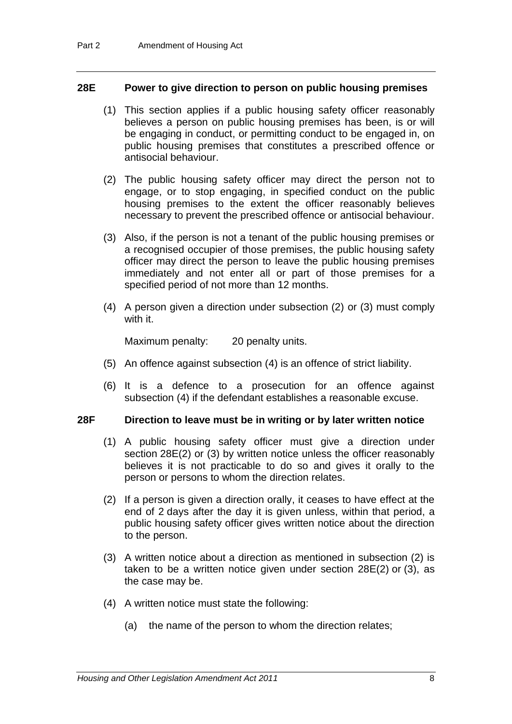### **28E Power to give direction to person on public housing premises**

- (1) This section applies if a public housing safety officer reasonably believes a person on public housing premises has been, is or will be engaging in conduct, or permitting conduct to be engaged in, on public housing premises that constitutes a prescribed offence or antisocial behaviour.
- (2) The public housing safety officer may direct the person not to engage, or to stop engaging, in specified conduct on the public housing premises to the extent the officer reasonably believes necessary to prevent the prescribed offence or antisocial behaviour.
- (3) Also, if the person is not a tenant of the public housing premises or a recognised occupier of those premises, the public housing safety officer may direct the person to leave the public housing premises immediately and not enter all or part of those premises for a specified period of not more than 12 months.
- (4) A person given a direction under subsection (2) or (3) must comply with it.

Maximum penalty: 20 penalty units.

- (5) An offence against subsection (4) is an offence of strict liability.
- (6) It is a defence to a prosecution for an offence against subsection (4) if the defendant establishes a reasonable excuse.

### **28F Direction to leave must be in writing or by later written notice**

- (1) A public housing safety officer must give a direction under section 28E(2) or (3) by written notice unless the officer reasonably believes it is not practicable to do so and gives it orally to the person or persons to whom the direction relates.
- (2) If a person is given a direction orally, it ceases to have effect at the end of 2 days after the day it is given unless, within that period, a public housing safety officer gives written notice about the direction to the person.
- (3) A written notice about a direction as mentioned in subsection (2) is taken to be a written notice given under section 28E(2) or (3), as the case may be.
- (4) A written notice must state the following:
	- (a) the name of the person to whom the direction relates;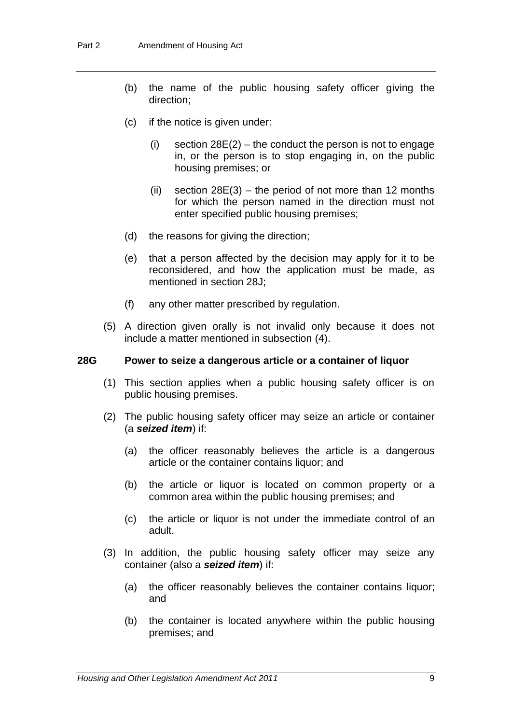- (b) the name of the public housing safety officer giving the direction;
- (c) if the notice is given under:
	- (i) section  $28E(2)$  the conduct the person is not to engage in, or the person is to stop engaging in, on the public housing premises; or
	- (ii) section  $28E(3)$  the period of not more than 12 months for which the person named in the direction must not enter specified public housing premises;
- (d) the reasons for giving the direction;
- (e) that a person affected by the decision may apply for it to be reconsidered, and how the application must be made, as mentioned in section 28J;
- (f) any other matter prescribed by regulation.
- (5) A direction given orally is not invalid only because it does not include a matter mentioned in subsection (4).

### **28G Power to seize a dangerous article or a container of liquor**

- (1) This section applies when a public housing safety officer is on public housing premises.
- (2) The public housing safety officer may seize an article or container (a *seized item*) if:
	- (a) the officer reasonably believes the article is a dangerous article or the container contains liquor; and
	- (b) the article or liquor is located on common property or a common area within the public housing premises; and
	- (c) the article or liquor is not under the immediate control of an adult.
- (3) In addition, the public housing safety officer may seize any container (also a *seized item*) if:
	- (a) the officer reasonably believes the container contains liquor; and
	- (b) the container is located anywhere within the public housing premises; and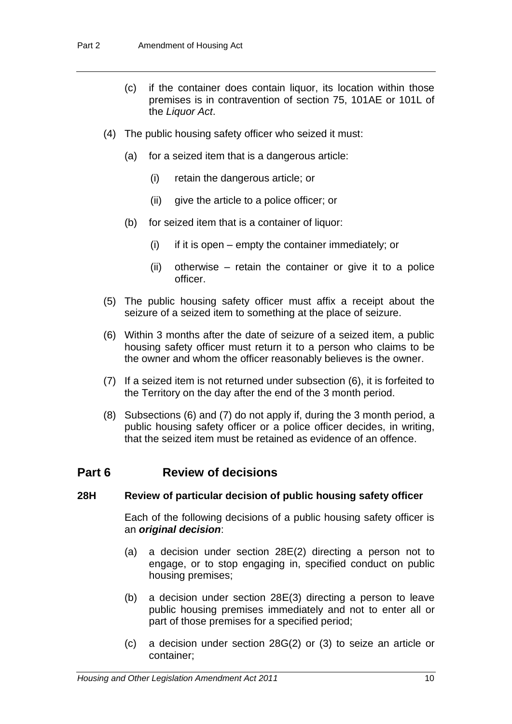- (c) if the container does contain liquor, its location within those premises is in contravention of section 75, 101AE or 101L of the *Liquor Act*.
- (4) The public housing safety officer who seized it must:
	- (a) for a seized item that is a dangerous article:
		- (i) retain the dangerous article; or
		- (ii) give the article to a police officer; or
	- (b) for seized item that is a container of liquor:
		- $(i)$  if it is open empty the container immediately; or
		- (ii) otherwise retain the container or give it to a police officer.
- (5) The public housing safety officer must affix a receipt about the seizure of a seized item to something at the place of seizure.
- (6) Within 3 months after the date of seizure of a seized item, a public housing safety officer must return it to a person who claims to be the owner and whom the officer reasonably believes is the owner.
- (7) If a seized item is not returned under subsection (6), it is forfeited to the Territory on the day after the end of the 3 month period.
- (8) Subsections (6) and (7) do not apply if, during the 3 month period, a public housing safety officer or a police officer decides, in writing, that the seized item must be retained as evidence of an offence.

## **Part 6 Review of decisions**

### **28H Review of particular decision of public housing safety officer**

Each of the following decisions of a public housing safety officer is an *original decision*:

- (a) a decision under section 28E(2) directing a person not to engage, or to stop engaging in, specified conduct on public housing premises;
- (b) a decision under section 28E(3) directing a person to leave public housing premises immediately and not to enter all or part of those premises for a specified period;
- (c) a decision under section 28G(2) or (3) to seize an article or container;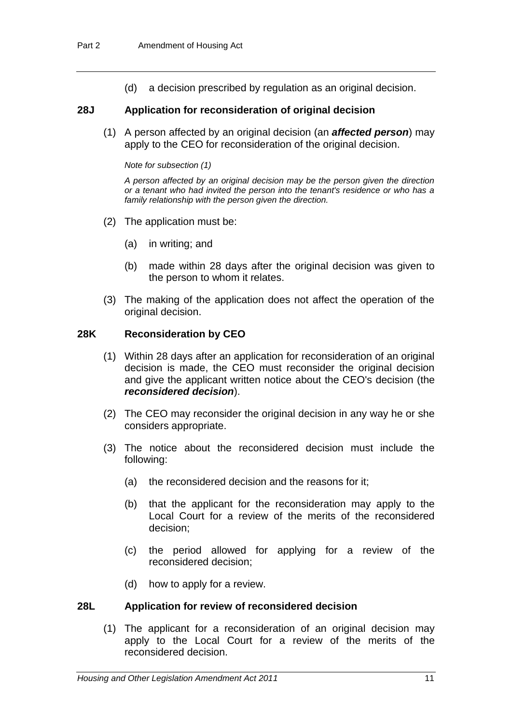(d) a decision prescribed by regulation as an original decision.

### **28J Application for reconsideration of original decision**

(1) A person affected by an original decision (an *affected person*) may apply to the CEO for reconsideration of the original decision.

#### *Note for subsection (1)*

*A person affected by an original decision may be the person given the direction or a tenant who had invited the person into the tenant's residence or who has a family relationship with the person given the direction.*

- (2) The application must be:
	- (a) in writing; and
	- (b) made within 28 days after the original decision was given to the person to whom it relates.
- (3) The making of the application does not affect the operation of the original decision.

### **28K Reconsideration by CEO**

- (1) Within 28 days after an application for reconsideration of an original decision is made, the CEO must reconsider the original decision and give the applicant written notice about the CEO's decision (the *reconsidered decision*).
- (2) The CEO may reconsider the original decision in any way he or she considers appropriate.
- (3) The notice about the reconsidered decision must include the following:
	- (a) the reconsidered decision and the reasons for it;
	- (b) that the applicant for the reconsideration may apply to the Local Court for a review of the merits of the reconsidered decision;
	- (c) the period allowed for applying for a review of the reconsidered decision;
	- (d) how to apply for a review.

### **28L Application for review of reconsidered decision**

(1) The applicant for a reconsideration of an original decision may apply to the Local Court for a review of the merits of the reconsidered decision.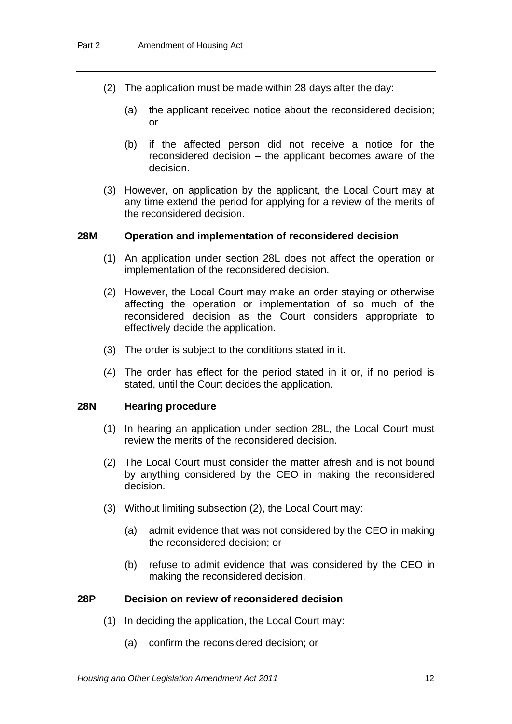- (2) The application must be made within 28 days after the day:
	- (a) the applicant received notice about the reconsidered decision; or
	- (b) if the affected person did not receive a notice for the reconsidered decision – the applicant becomes aware of the decision.
- (3) However, on application by the applicant, the Local Court may at any time extend the period for applying for a review of the merits of the reconsidered decision.

### **28M Operation and implementation of reconsidered decision**

- (1) An application under section 28L does not affect the operation or implementation of the reconsidered decision.
- (2) However, the Local Court may make an order staying or otherwise affecting the operation or implementation of so much of the reconsidered decision as the Court considers appropriate to effectively decide the application.
- (3) The order is subject to the conditions stated in it.
- (4) The order has effect for the period stated in it or, if no period is stated, until the Court decides the application.

### **28N Hearing procedure**

- (1) In hearing an application under section 28L, the Local Court must review the merits of the reconsidered decision.
- (2) The Local Court must consider the matter afresh and is not bound by anything considered by the CEO in making the reconsidered decision.
- (3) Without limiting subsection (2), the Local Court may:
	- (a) admit evidence that was not considered by the CEO in making the reconsidered decision; or
	- (b) refuse to admit evidence that was considered by the CEO in making the reconsidered decision.

### **28P Decision on review of reconsidered decision**

- (1) In deciding the application, the Local Court may:
	- (a) confirm the reconsidered decision; or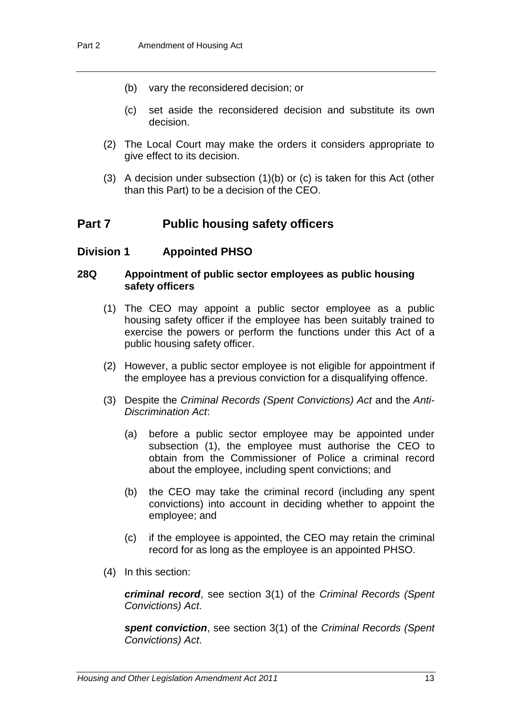- (b) vary the reconsidered decision; or
- (c) set aside the reconsidered decision and substitute its own decision.
- (2) The Local Court may make the orders it considers appropriate to give effect to its decision.
- (3) A decision under subsection (1)(b) or (c) is taken for this Act (other than this Part) to be a decision of the CEO.

### **Part 7 Public housing safety officers**

### **Division 1 Appointed PHSO**

### **28Q Appointment of public sector employees as public housing safety officers**

- (1) The CEO may appoint a public sector employee as a public housing safety officer if the employee has been suitably trained to exercise the powers or perform the functions under this Act of a public housing safety officer.
- (2) However, a public sector employee is not eligible for appointment if the employee has a previous conviction for a disqualifying offence.
- (3) Despite the *Criminal Records (Spent Convictions) Act* and the *Anti-Discrimination Act*:
	- (a) before a public sector employee may be appointed under subsection (1), the employee must authorise the CEO to obtain from the Commissioner of Police a criminal record about the employee, including spent convictions; and
	- (b) the CEO may take the criminal record (including any spent convictions) into account in deciding whether to appoint the employee; and
	- (c) if the employee is appointed, the CEO may retain the criminal record for as long as the employee is an appointed PHSO.
- (4) In this section:

*criminal record*, see section 3(1) of the *Criminal Records (Spent Convictions) Act*.

*spent conviction*, see section 3(1) of the *Criminal Records (Spent Convictions) Act*.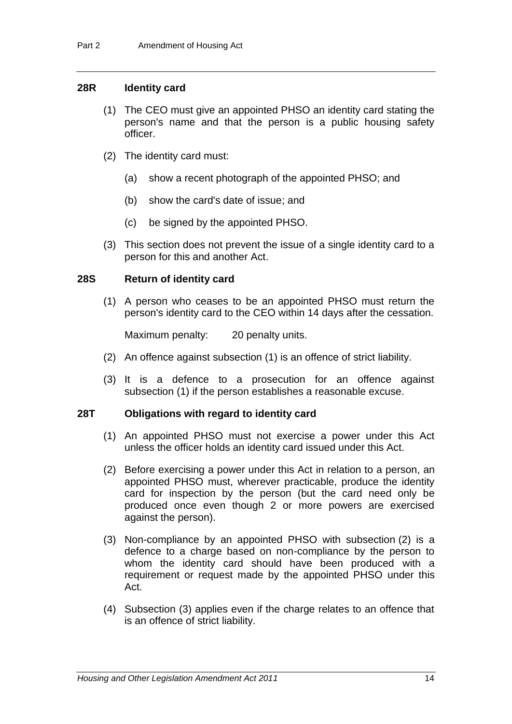### **28R Identity card**

- (1) The CEO must give an appointed PHSO an identity card stating the person's name and that the person is a public housing safety officer.
- (2) The identity card must:
	- (a) show a recent photograph of the appointed PHSO; and
	- (b) show the card's date of issue; and
	- (c) be signed by the appointed PHSO.
- (3) This section does not prevent the issue of a single identity card to a person for this and another Act.

### **28S Return of identity card**

(1) A person who ceases to be an appointed PHSO must return the person's identity card to the CEO within 14 days after the cessation.

Maximum penalty: 20 penalty units.

- (2) An offence against subsection (1) is an offence of strict liability.
- (3) It is a defence to a prosecution for an offence against subsection (1) if the person establishes a reasonable excuse.

### **28T Obligations with regard to identity card**

- (1) An appointed PHSO must not exercise a power under this Act unless the officer holds an identity card issued under this Act.
- (2) Before exercising a power under this Act in relation to a person, an appointed PHSO must, wherever practicable, produce the identity card for inspection by the person (but the card need only be produced once even though 2 or more powers are exercised against the person).
- (3) Non-compliance by an appointed PHSO with subsection (2) is a defence to a charge based on non-compliance by the person to whom the identity card should have been produced with a requirement or request made by the appointed PHSO under this Act.
- (4) Subsection (3) applies even if the charge relates to an offence that is an offence of strict liability.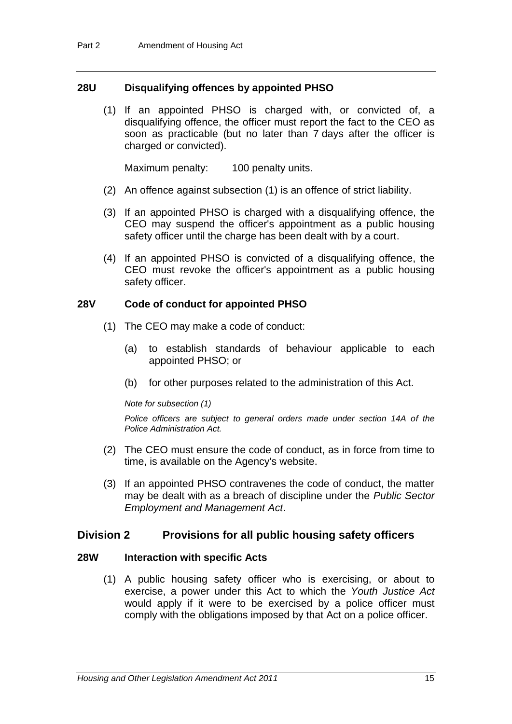### **28U Disqualifying offences by appointed PHSO**

(1) If an appointed PHSO is charged with, or convicted of, a disqualifying offence, the officer must report the fact to the CEO as soon as practicable (but no later than 7 days after the officer is charged or convicted).

Maximum penalty: 100 penalty units.

- (2) An offence against subsection (1) is an offence of strict liability.
- (3) If an appointed PHSO is charged with a disqualifying offence, the CEO may suspend the officer's appointment as a public housing safety officer until the charge has been dealt with by a court.
- (4) If an appointed PHSO is convicted of a disqualifying offence, the CEO must revoke the officer's appointment as a public housing safety officer.

### **28V Code of conduct for appointed PHSO**

- (1) The CEO may make a code of conduct:
	- (a) to establish standards of behaviour applicable to each appointed PHSO; or
	- (b) for other purposes related to the administration of this Act.

#### *Note for subsection (1)*

*Police officers are subject to general orders made under section 14A of the Police Administration Act.*

- (2) The CEO must ensure the code of conduct, as in force from time to time, is available on the Agency's website.
- (3) If an appointed PHSO contravenes the code of conduct, the matter may be dealt with as a breach of discipline under the *Public Sector Employment and Management Act*.

### **Division 2 Provisions for all public housing safety officers**

### **28W Interaction with specific Acts**

(1) A public housing safety officer who is exercising, or about to exercise, a power under this Act to which the *Youth Justice Act* would apply if it were to be exercised by a police officer must comply with the obligations imposed by that Act on a police officer.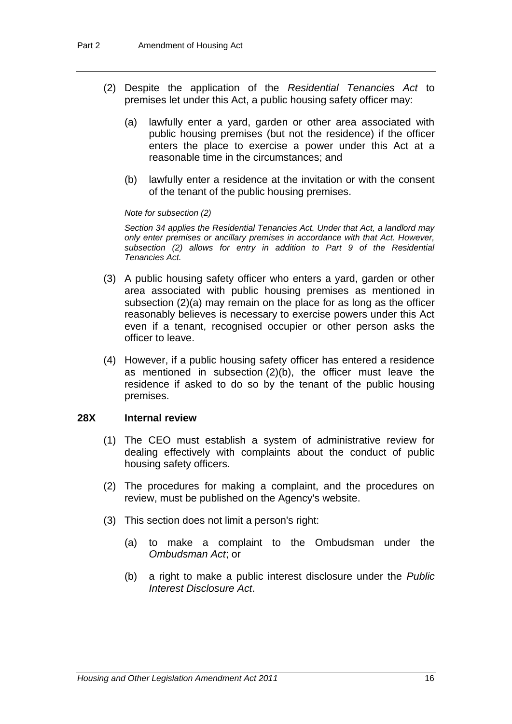- (2) Despite the application of the *Residential Tenancies Act* to premises let under this Act, a public housing safety officer may:
	- (a) lawfully enter a yard, garden or other area associated with public housing premises (but not the residence) if the officer enters the place to exercise a power under this Act at a reasonable time in the circumstances; and
	- (b) lawfully enter a residence at the invitation or with the consent of the tenant of the public housing premises.

*Note for subsection (2)*

*Section 34 applies the Residential Tenancies Act. Under that Act, a landlord may only enter premises or ancillary premises in accordance with that Act. However, subsection (2) allows for entry in addition to Part 9 of the Residential Tenancies Act.*

- (3) A public housing safety officer who enters a yard, garden or other area associated with public housing premises as mentioned in subsection (2)(a) may remain on the place for as long as the officer reasonably believes is necessary to exercise powers under this Act even if a tenant, recognised occupier or other person asks the officer to leave.
- (4) However, if a public housing safety officer has entered a residence as mentioned in subsection (2)(b), the officer must leave the residence if asked to do so by the tenant of the public housing premises.

### **28X Internal review**

- (1) The CEO must establish a system of administrative review for dealing effectively with complaints about the conduct of public housing safety officers.
- (2) The procedures for making a complaint, and the procedures on review, must be published on the Agency's website.
- (3) This section does not limit a person's right:
	- (a) to make a complaint to the Ombudsman under the *Ombudsman Act*; or
	- (b) a right to make a public interest disclosure under the *Public Interest Disclosure Act*.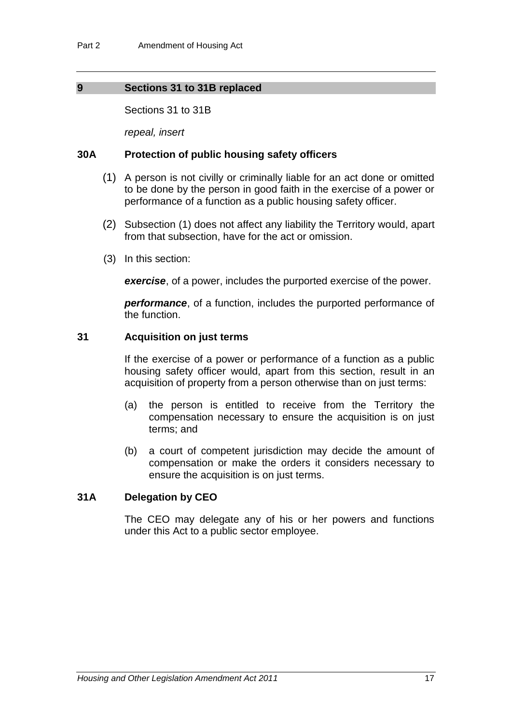### **9 Sections 31 to 31B replaced**

Sections 31 to 31B

*repeal, insert*

### **30A Protection of public housing safety officers**

- (1) A person is not civilly or criminally liable for an act done or omitted to be done by the person in good faith in the exercise of a power or performance of a function as a public housing safety officer.
- (2) Subsection (1) does not affect any liability the Territory would, apart from that subsection, have for the act or omission.
- (3) In this section:

*exercise*, of a power, includes the purported exercise of the power.

*performance*, of a function, includes the purported performance of the function.

### **31 Acquisition on just terms**

If the exercise of a power or performance of a function as a public housing safety officer would, apart from this section, result in an acquisition of property from a person otherwise than on just terms:

- (a) the person is entitled to receive from the Territory the compensation necessary to ensure the acquisition is on just terms; and
- (b) a court of competent jurisdiction may decide the amount of compensation or make the orders it considers necessary to ensure the acquisition is on just terms.

### **31A Delegation by CEO**

The CEO may delegate any of his or her powers and functions under this Act to a public sector employee.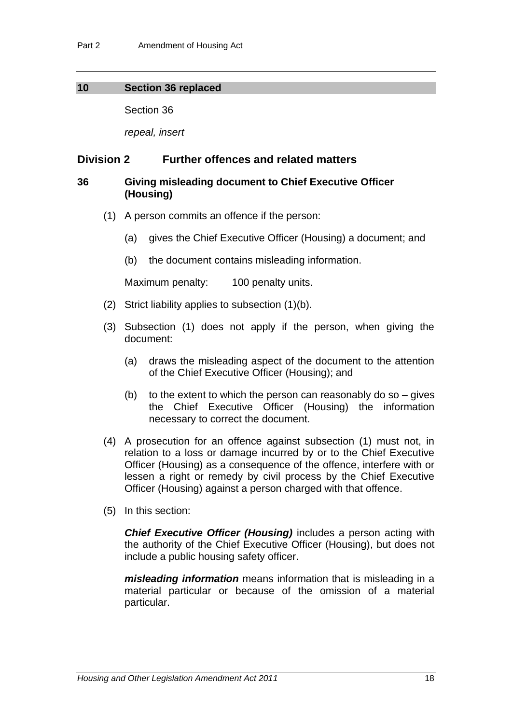### **10 Section 36 replaced**

Section 36

*repeal, insert*

### **Division 2 Further offences and related matters**

### **36 Giving misleading document to Chief Executive Officer (Housing)**

- (1) A person commits an offence if the person:
	- (a) gives the Chief Executive Officer (Housing) a document; and
	- (b) the document contains misleading information.

Maximum penalty: 100 penalty units.

- (2) Strict liability applies to subsection (1)(b).
- (3) Subsection (1) does not apply if the person, when giving the document:
	- (a) draws the misleading aspect of the document to the attention of the Chief Executive Officer (Housing); and
	- (b) to the extent to which the person can reasonably do so  $-$  gives the Chief Executive Officer (Housing) the information necessary to correct the document.
- (4) A prosecution for an offence against subsection (1) must not, in relation to a loss or damage incurred by or to the Chief Executive Officer (Housing) as a consequence of the offence, interfere with or lessen a right or remedy by civil process by the Chief Executive Officer (Housing) against a person charged with that offence.
- (5) In this section:

*Chief Executive Officer (Housing)* includes a person acting with the authority of the Chief Executive Officer (Housing), but does not include a public housing safety officer.

*misleading information* means information that is misleading in a material particular or because of the omission of a material particular.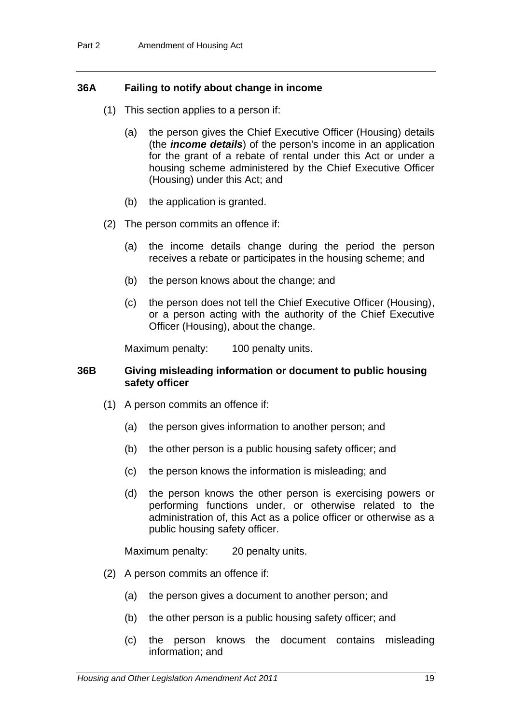### **36A Failing to notify about change in income**

- (1) This section applies to a person if:
	- (a) the person gives the Chief Executive Officer (Housing) details (the *income details*) of the person's income in an application for the grant of a rebate of rental under this Act or under a housing scheme administered by the Chief Executive Officer (Housing) under this Act; and
	- (b) the application is granted.
- (2) The person commits an offence if:
	- (a) the income details change during the period the person receives a rebate or participates in the housing scheme; and
	- (b) the person knows about the change; and
	- (c) the person does not tell the Chief Executive Officer (Housing), or a person acting with the authority of the Chief Executive Officer (Housing), about the change.

Maximum penalty: 100 penalty units.

### **36B Giving misleading information or document to public housing safety officer**

- (1) A person commits an offence if:
	- (a) the person gives information to another person; and
	- (b) the other person is a public housing safety officer; and
	- (c) the person knows the information is misleading; and
	- (d) the person knows the other person is exercising powers or performing functions under, or otherwise related to the administration of, this Act as a police officer or otherwise as a public housing safety officer.

Maximum penalty: 20 penalty units.

- (2) A person commits an offence if:
	- (a) the person gives a document to another person; and
	- (b) the other person is a public housing safety officer; and
	- (c) the person knows the document contains misleading information; and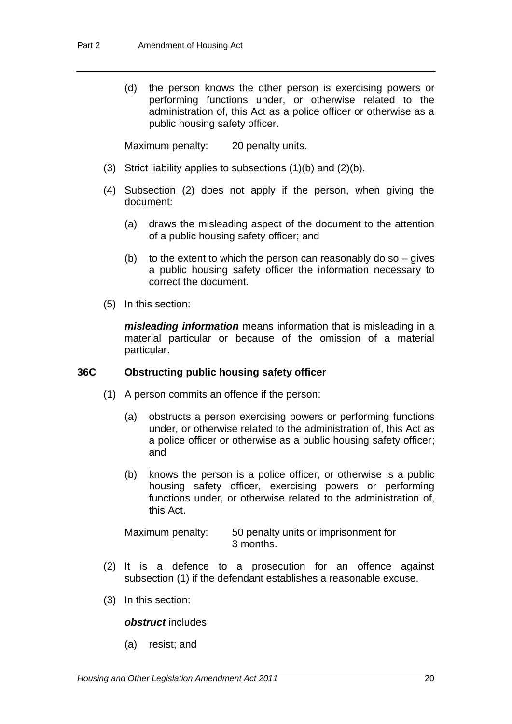(d) the person knows the other person is exercising powers or performing functions under, or otherwise related to the administration of, this Act as a police officer or otherwise as a public housing safety officer.

Maximum penalty: 20 penalty units.

- (3) Strict liability applies to subsections (1)(b) and (2)(b).
- (4) Subsection (2) does not apply if the person, when giving the document:
	- (a) draws the misleading aspect of the document to the attention of a public housing safety officer; and
	- (b) to the extent to which the person can reasonably do so  $-$  gives a public housing safety officer the information necessary to correct the document.
- (5) In this section:

*misleading information* means information that is misleading in a material particular or because of the omission of a material particular.

### **36C Obstructing public housing safety officer**

- (1) A person commits an offence if the person:
	- (a) obstructs a person exercising powers or performing functions under, or otherwise related to the administration of, this Act as a police officer or otherwise as a public housing safety officer; and
	- (b) knows the person is a police officer, or otherwise is a public housing safety officer, exercising powers or performing functions under, or otherwise related to the administration of, this Act.

| Maximum penalty: | 50 penalty units or imprisonment for |
|------------------|--------------------------------------|
|                  | 3 months.                            |

- (2) It is a defence to a prosecution for an offence against subsection (1) if the defendant establishes a reasonable excuse.
- (3) In this section:

### *obstruct* includes:

(a) resist; and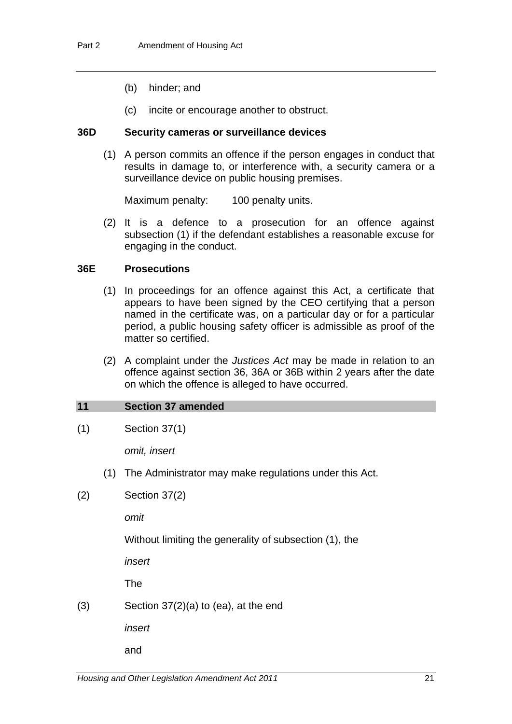- (b) hinder; and
- (c) incite or encourage another to obstruct.

### **36D Security cameras or surveillance devices**

(1) A person commits an offence if the person engages in conduct that results in damage to, or interference with, a security camera or a surveillance device on public housing premises.

Maximum penalty: 100 penalty units.

(2) It is a defence to a prosecution for an offence against subsection (1) if the defendant establishes a reasonable excuse for engaging in the conduct.

### **36E Prosecutions**

- (1) In proceedings for an offence against this Act, a certificate that appears to have been signed by the CEO certifying that a person named in the certificate was, on a particular day or for a particular period, a public housing safety officer is admissible as proof of the matter so certified.
- (2) A complaint under the *Justices Act* may be made in relation to an offence against section 36, 36A or 36B within 2 years after the date on which the offence is alleged to have occurred.

### **11 Section 37 amended**

(1) Section 37(1)

*omit, insert*

- (1) The Administrator may make regulations under this Act.
- (2) Section 37(2)

*omit*

Without limiting the generality of subsection (1), the

*insert*

The

 $(3)$  Section 37 $(2)(a)$  to  $(ea)$ , at the end

*insert*

and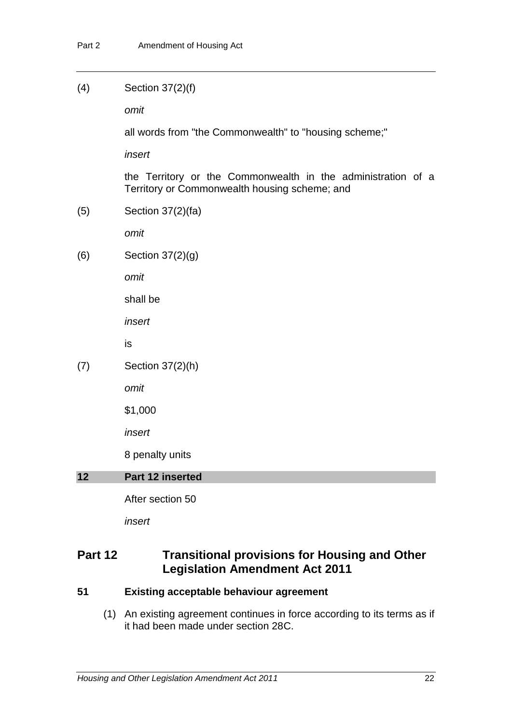### (4) Section 37(2)(f)

*omit*

all words from "the Commonwealth" to "housing scheme;"

*insert*

the Territory or the Commonwealth in the administration of a Territory or Commonwealth housing scheme; and

(5) Section 37(2)(fa)

*omit*

(6) Section 37(2)(g)

*omit*

shall be

*insert*

is

(7) Section 37(2)(h)

*omit*

\$1,000

*insert*

8 penalty units

### **12 Part 12 inserted**

After section 50

*insert*

# **Part 12 Transitional provisions for Housing and Other Legislation Amendment Act 2011**

### **51 Existing acceptable behaviour agreement**

(1) An existing agreement continues in force according to its terms as if it had been made under section 28C.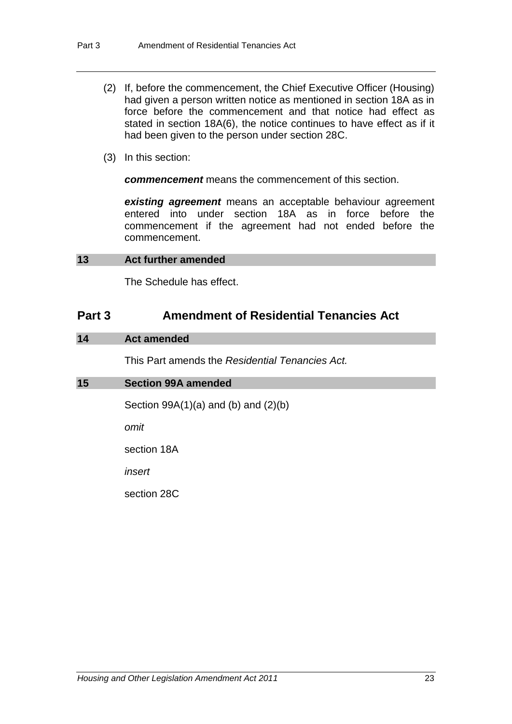- (2) If, before the commencement, the Chief Executive Officer (Housing) had given a person written notice as mentioned in section 18A as in force before the commencement and that notice had effect as stated in section 18A(6), the notice continues to have effect as if it had been given to the person under section 28C.
- (3) In this section:

*commencement* means the commencement of this section.

*existing agreement* means an acceptable behaviour agreement entered into under section 18A as in force before the commencement if the agreement had not ended before the commencement.

### <span id="page-25-0"></span>**13 Act further amended**

The Schedule has effect.

## **Part 3 Amendment of Residential Tenancies Act**

### **14 Act amended**

This Part amends the *Residential Tenancies Act.*

### **15 Section 99A amended**

Section  $99A(1)(a)$  and  $(b)$  and  $(2)(b)$ 

*omit*

section 18A

*insert*

section 28C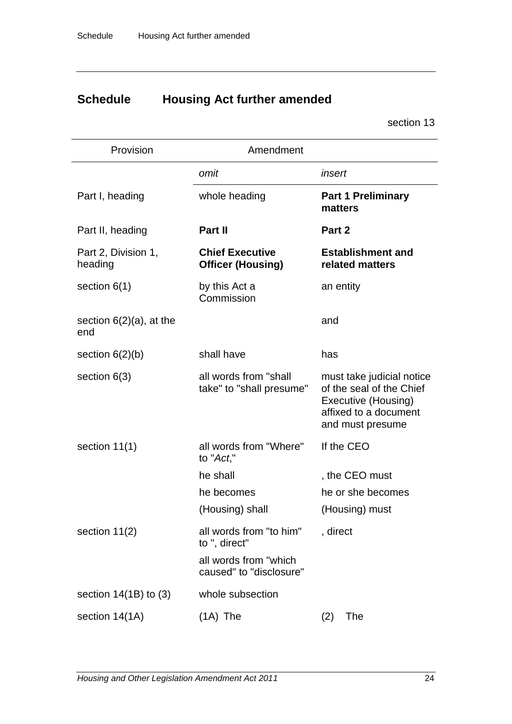# **Schedule Housing Act further amended**

section [13](#page-25-0)

| Provision                         | Amendment                                          |                                                                                                                           |
|-----------------------------------|----------------------------------------------------|---------------------------------------------------------------------------------------------------------------------------|
|                                   | omit                                               | insert                                                                                                                    |
| Part I, heading                   | whole heading                                      | <b>Part 1 Preliminary</b><br>matters                                                                                      |
| Part II, heading                  | Part II                                            | Part 2                                                                                                                    |
| Part 2, Division 1,<br>heading    | <b>Chief Executive</b><br><b>Officer (Housing)</b> | <b>Establishment and</b><br>related matters                                                                               |
| section $6(1)$                    | by this Act a<br>Commission                        | an entity                                                                                                                 |
| section $6(2)(a)$ , at the<br>end |                                                    | and                                                                                                                       |
| section $6(2)(b)$                 | shall have                                         | has                                                                                                                       |
| section $6(3)$                    | all words from "shall<br>take" to "shall presume"  | must take judicial notice<br>of the seal of the Chief<br>Executive (Housing)<br>affixed to a document<br>and must presume |
| section $11(1)$                   | all words from "Where"<br>to "Act,"                | If the CEO                                                                                                                |
|                                   | he shall                                           | , the CEO must                                                                                                            |
|                                   | he becomes                                         | he or she becomes                                                                                                         |
|                                   | (Housing) shall                                    | (Housing) must                                                                                                            |
| section 11(2)                     | all words from "to him"<br>to ", direct"           | , direct                                                                                                                  |
|                                   | all words from "which<br>caused" to "disclosure"   |                                                                                                                           |
| section $14(1B)$ to (3)           | whole subsection                                   |                                                                                                                           |
| section 14(1A)                    | $(1A)$ The                                         | The<br>(2)                                                                                                                |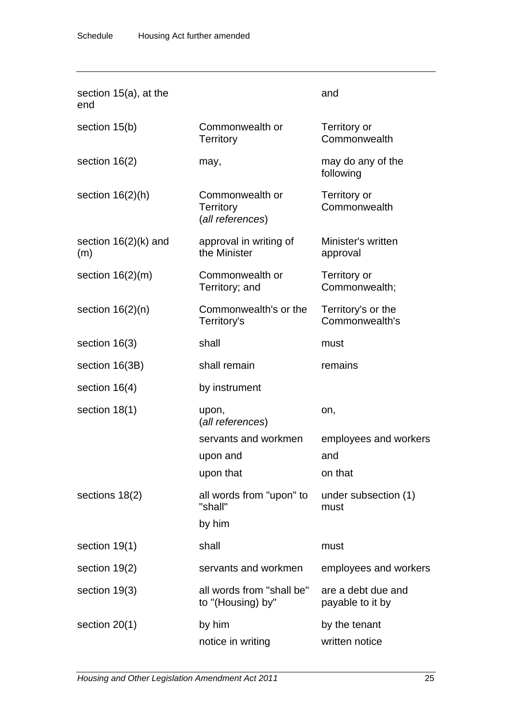| section $15(a)$ , at the<br>end |                                                         | and                                    |
|---------------------------------|---------------------------------------------------------|----------------------------------------|
| section 15(b)                   | Commonwealth or<br><b>Territory</b>                     | Territory or<br>Commonwealth           |
| section $16(2)$                 | may,                                                    | may do any of the<br>following         |
| section $16(2)(h)$              | Commonwealth or<br><b>Territory</b><br>(all references) | Territory or<br>Commonwealth           |
| section $16(2)(k)$ and<br>(m)   | approval in writing of<br>the Minister                  | Minister's written<br>approval         |
| section $16(2)(m)$              | Commonwealth or<br>Territory; and                       | Territory or<br>Commonwealth;          |
| section $16(2)(n)$              | Commonwealth's or the<br>Territory's                    | Territory's or the<br>Commonwealth's   |
| section $16(3)$                 | shall                                                   | must                                   |
| section 16(3B)                  | shall remain                                            | remains                                |
| section $16(4)$                 | by instrument                                           |                                        |
| section $18(1)$                 | upon,<br>(all references)                               | on,                                    |
|                                 | servants and workmen                                    | employees and workers                  |
|                                 | upon and                                                | and                                    |
|                                 | upon that                                               | on that                                |
| sections 18(2)                  | all words from "upon" to<br>"shall"                     | under subsection (1)<br>must           |
|                                 | by him                                                  |                                        |
| section 19(1)                   | shall                                                   | must                                   |
| section 19(2)                   | servants and workmen                                    | employees and workers                  |
| section 19(3)                   | all words from "shall be"<br>to "(Housing) by"          | are a debt due and<br>payable to it by |
| section $20(1)$                 | by him                                                  | by the tenant                          |
|                                 | notice in writing                                       | written notice                         |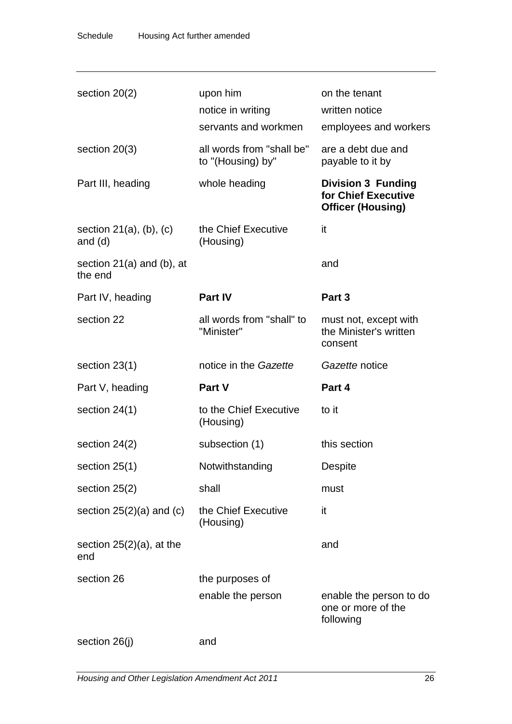| section $20(2)$                              | upon him<br>notice in writing<br>servants and workmen | on the tenant<br>written notice<br>employees and workers                     |
|----------------------------------------------|-------------------------------------------------------|------------------------------------------------------------------------------|
| section $20(3)$                              | all words from "shall be"<br>to "(Housing) by"        | are a debt due and<br>payable to it by                                       |
| Part III, heading                            | whole heading                                         | <b>Division 3 Funding</b><br>for Chief Executive<br><b>Officer (Housing)</b> |
| section $21(a)$ , $(b)$ , $(c)$<br>and $(d)$ | the Chief Executive<br>(Housing)                      | it                                                                           |
| section $21(a)$ and (b), at<br>the end       |                                                       | and                                                                          |
| Part IV, heading                             | <b>Part IV</b>                                        | Part 3                                                                       |
| section 22                                   | all words from "shall" to<br>"Minister"               | must not, except with<br>the Minister's written<br>consent                   |
| section $23(1)$                              | notice in the Gazette                                 | Gazette notice                                                               |
| Part V, heading                              | Part V                                                | Part 4                                                                       |
| section $24(1)$                              | to the Chief Executive<br>(Housing)                   | to it                                                                        |
| section $24(2)$                              | subsection (1)                                        | this section                                                                 |
| section 25(1)                                | Notwithstanding                                       | <b>Despite</b>                                                               |
| section $25(2)$                              | shall                                                 | must                                                                         |
| section $25(2)(a)$ and $(c)$                 | the Chief Executive<br>(Housing)                      | it                                                                           |
| section $25(2)(a)$ , at the<br>end           |                                                       | and                                                                          |
| section 26                                   | the purposes of                                       |                                                                              |
|                                              | enable the person                                     | enable the person to do<br>one or more of the<br>following                   |
| section 26(j)                                | and                                                   |                                                                              |